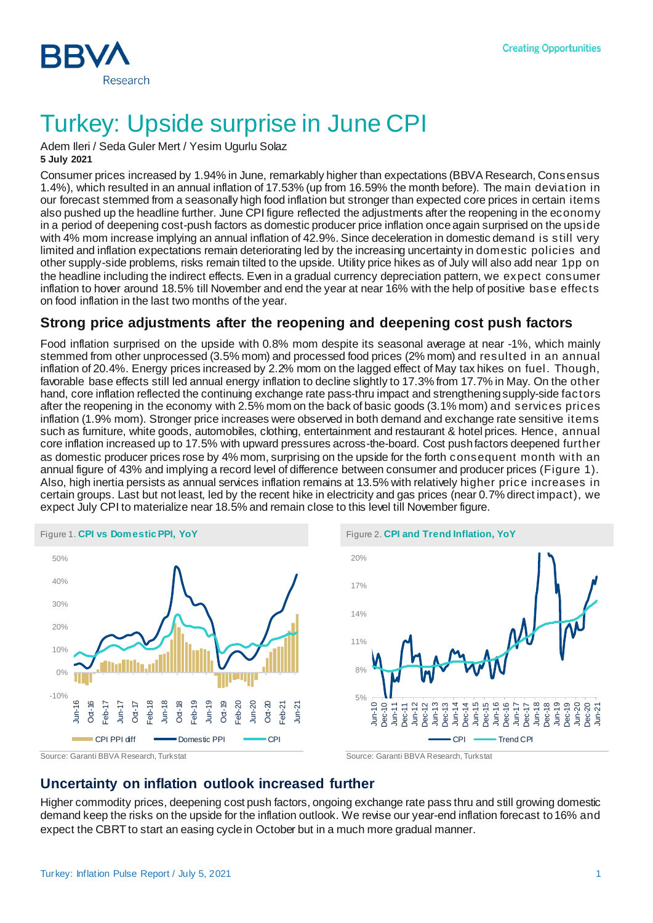

# Turkey: Upside surprise in June CPI

Adem Ileri / Seda Guler Mert / Yesim Ugurlu Solaz **5 July 2021**

Consumer prices increased by 1.94% in June, remarkably higher than expectations (BBVA Research, Consensus 1.4%), which resulted in an annual inflation of 17.53% (up from 16.59% the month before). The main deviation in our forecast stemmed from a seasonally high food inflation but stronger than expected core prices in certain items also pushed up the headline further. June CPI figure reflected the adjustments after the reopening in the economy in a period of deepening cost-push factors as domestic producer price inflation once again surprised on the upside with 4% mom increase implying an annual inflation of 42.9%. Since deceleration in domestic demand is still very limited and inflation expectations remain deteriorating led by the increasing uncertainty in domestic policies and other supply-side problems, risks remain tilted to the upside. Utility price hikes as of July will also add near 1pp on the headline including the indirect effects. Even in a gradual currency depreciation pattern, we expect consumer inflation to hover around 18.5% till November and end the year at near 16% with the help of positive base effects on food inflation in the last two months of the year.

### **Strong price adjustments after the reopening and deepening cost push factors**

Food inflation surprised on the upside with 0.8% mom despite its seasonal average at near -1%, which mainly stemmed from other unprocessed (3.5% mom) and processed food prices (2% mom) and resulted in an annual inflation of 20.4%. Energy prices increased by 2.2% mom on the lagged effect of May tax hikes on fuel. Though, favorable base effects still led annual energy inflation to decline slightly to 17.3% from 17.7% in May. On the other hand, core inflation reflected the continuing exchange rate pass-thru impact and strengthening supply-side factors after the reopening in the economy with 2.5% mom on the back of basic goods (3.1% mom) and services prices inflation (1.9% mom). Stronger price increases were observed in both demand and exchange rate sensitive items such as furniture, white goods, automobiles, clothing, entertainment and restaurant & hotel prices. Hence, annual core inflation increased up to 17.5% with upward pressures across-the-board. Cost push factors deepened further as domestic producer prices rose by 4% mom, surprising on the upside for the forth consequent month with an annual figure of 43% and implying a record level of difference between consumer and producer prices (Figure 1). Also, high inertia persists as annual services inflation remains at 13.5% with relatively higher price increases in certain groups. Last but not least, led by the recent hike in electricity and gas prices (near 0.7% direct impact), we expect July CPI to materialize near 18.5% and remain close to this level till November figure.







### **Uncertainty on inflation outlook increased further**

Higher commodity prices, deepening cost push factors, ongoing exchange rate pass thru and still growing domestic demand keep the risks on the upside for the inflation outlook. We revise our year-end inflation forecast to 16% and expect the CBRT to start an easing cycle in October but in a much more gradual manner.

Source: Garanti BBVA Research, Turkstat Source: Garanti BBVA Research, Turkstat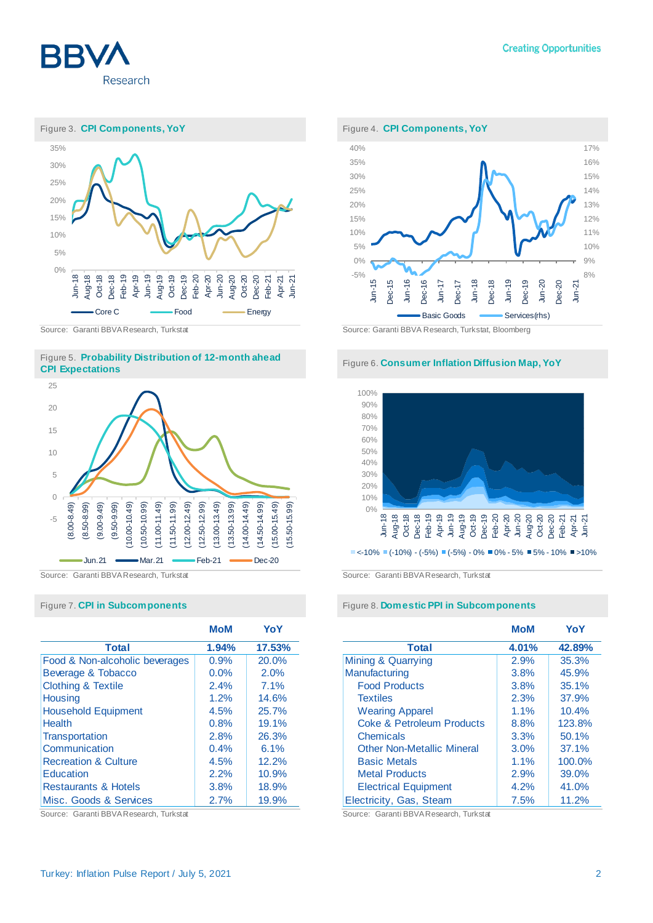







|                                 | <b>MoM</b> | YoY    |
|---------------------------------|------------|--------|
| <b>Total</b>                    | 1.94%      | 17.53% |
| Food & Non-alcoholic beverages  | 0.9%       | 20.0%  |
| Beverage & Tobacco              | 0.0%       | 2.0%   |
| <b>Clothing &amp; Textile</b>   | 2.4%       | 7.1%   |
| <b>Housing</b>                  | 1.2%       | 14.6%  |
| <b>Household Equipment</b>      | 4.5%       | 25.7%  |
| <b>Health</b>                   | 0.8%       | 19.1%  |
| Transportation                  | 2.8%       | 26.3%  |
| Communication                   | 0.4%       | 6.1%   |
| <b>Recreation &amp; Culture</b> | 4.5%       | 12.2%  |
| Education                       | 2.2%       | 10.9%  |
| <b>Restaurants &amp; Hotels</b> | 3.8%       | 18.9%  |
| Misc. Goods & Services          | 2.7%       | 19.9%  |

Source: Garanti BBVA Research, Turkstat Source: Garanti BBVA Research, Turkstat





Source: Garanti BBVA Research, Turkstat Source: Garanti BBVA Research, Turkstat

### Figure 7. **CPI in Subcomponents** Figure 8. **Domestic PPI in Subcomponents**

|                                   | MoM   | YoY    |
|-----------------------------------|-------|--------|
| <b>Total</b>                      | 4.01% | 42.89% |
| Mining & Quarrying                | 2.9%  | 35.3%  |
| Manufacturing                     | 3.8%  | 45.9%  |
| <b>Food Products</b>              | 3.8%  | 35.1%  |
| <b>Textiles</b>                   | 2.3%  | 37.9%  |
| <b>Wearing Apparel</b>            | 1.1%  | 10.4%  |
| Coke & Petroleum Products         | 8.8%  | 123.8% |
| Chemicals                         | 3.3%  | 50.1%  |
| <b>Other Non-Metallic Mineral</b> | 3.0%  | 37.1%  |
| <b>Basic Metals</b>               | 1.1%  | 100.0% |
| <b>Metal Products</b>             | 2.9%  | 39.0%  |
| <b>Electrical Equipment</b>       | 4.2%  | 41.0%  |
| Electricity, Gas, Steam           | 7.5%  | 11.2%  |